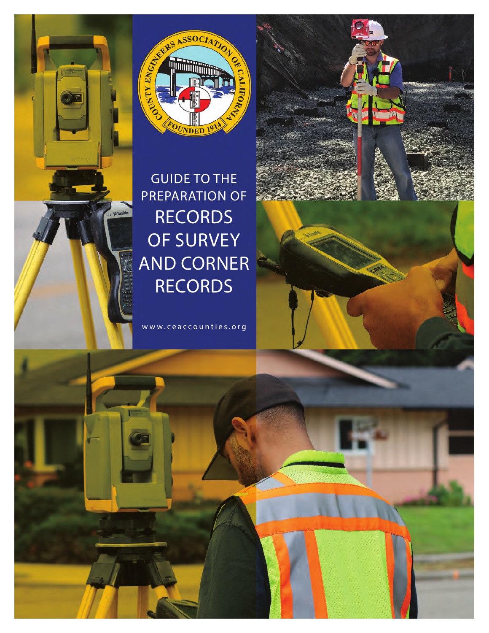

GUIDE TO THE PREPARATION OF RECORDS OF SURVEY AND CORNER RECORDS

www.ceaccounties.org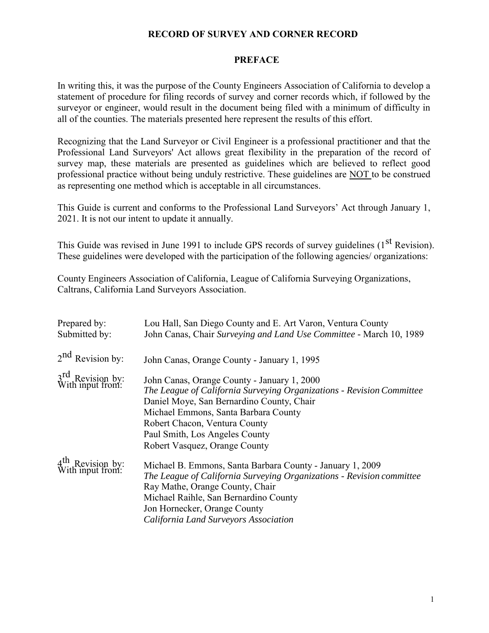# **RECORD OF SURVEY AND CORNER RECORD**

### **PREFACE**

In writing this, it was the purpose of the County Engineers Association of California to develop a statement of procedure for filing records of survey and corner records which, if followed by the surveyor or engineer, would result in the document being filed with a minimum of difficulty in all of the counties. The materials presented here represent the results of this effort.

Recognizing that the Land Surveyor or Civil Engineer is a professional practitioner and that the Professional Land Surveyors' Act allows great flexibility in the preparation of the record of survey map, these materials are presented as guidelines which are believed to reflect good professional practice without being unduly restrictive. These guidelines are NOT to be construed as representing one method which is acceptable in all circumstances.

This Guide is current and conforms to the Professional Land Surveyors' Act through January 1, 2021. It is not our intent to update it annually.

This Guide was revised in June 1991 to include GPS records of survey guidelines (1<sup>st</sup> Revision). These guidelines were developed with the participation of the following agencies/ organizations:

County Engineers Association of California, League of California Surveying Organizations, Caltrans, California Land Surveyors Association.

| Prepared by:                                     | Lou Hall, San Diego County and E. Art Varon, Ventura County                                                                                                                                                                                                                                                   |
|--------------------------------------------------|---------------------------------------------------------------------------------------------------------------------------------------------------------------------------------------------------------------------------------------------------------------------------------------------------------------|
| Submitted by:                                    | John Canas, Chair Surveying and Land Use Committee - March 10, 1989                                                                                                                                                                                                                                           |
| 2 <sup>nd</sup> Revision by:                     | John Canas, Orange County - January 1, 1995                                                                                                                                                                                                                                                                   |
| 3 <sup>rd</sup> Revision by:<br>With input from: | John Canas, Orange County - January 1, 2000<br>The League of California Surveying Organizations - Revision Committee<br>Daniel Moye, San Bernardino County, Chair<br>Michael Emmons, Santa Barbara County<br>Robert Chacon, Ventura County<br>Paul Smith, Los Angeles County<br>Robert Vasquez, Orange County |
| 4 <sup>th</sup> Revision by:<br>With input from: | Michael B. Emmons, Santa Barbara County - January 1, 2009<br>The League of California Surveying Organizations - Revision committee<br>Ray Mathe, Orange County, Chair<br>Michael Raihle, San Bernardino County<br>Jon Hornecker, Orange County<br>California Land Surveyors Association                       |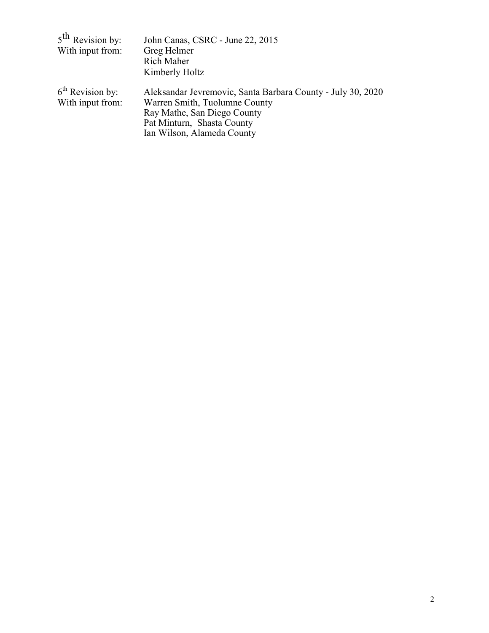| $5^{\text{th}}$ Revision by:<br>With input from: | John Canas, CSRC - June 22, 2015<br>Greg Helmer<br><b>Rich Maher</b><br>Kimberly Holtz                                                                                                  |
|--------------------------------------------------|-----------------------------------------------------------------------------------------------------------------------------------------------------------------------------------------|
| $6th$ Revision by:<br>With input from:           | Aleksandar Jevremovic, Santa Barbara County - July 30, 2020<br>Warren Smith, Tuolumne County<br>Ray Mathe, San Diego County<br>Pat Minturn, Shasta County<br>Ian Wilson, Alameda County |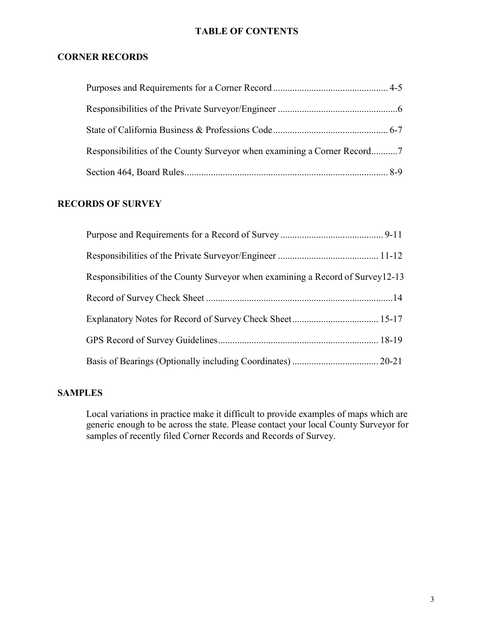## **TABLE OF CONTENTS**

# **CORNER RECORDS**

| Responsibilities of the County Surveyor when examining a Corner Record7 |  |
|-------------------------------------------------------------------------|--|
|                                                                         |  |

# **RECORDS OF SURVEY**

| Responsibilities of the County Surveyor when examining a Record of Survey 12-13 |
|---------------------------------------------------------------------------------|
|                                                                                 |
|                                                                                 |
|                                                                                 |
|                                                                                 |

# **SAMPLES**

Local variations in practice make it difficult to provide examples of maps which are generic enough to be across the state. Please contact your local County Surveyor for samples of recently filed Corner Records and Records of Survey.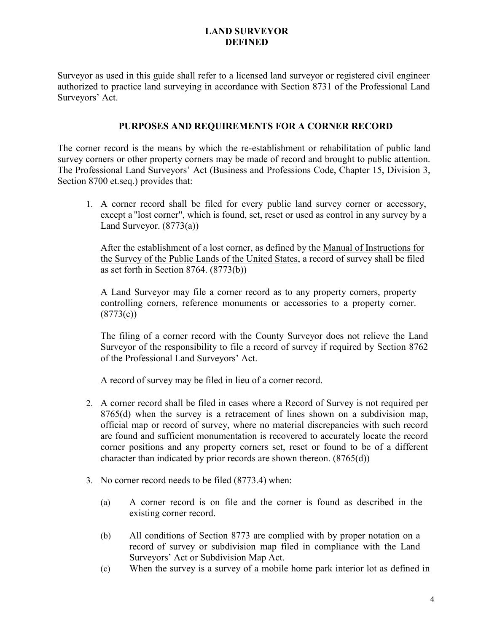# **LAND SURVEYOR DEFINED**

Surveyor as used in this guide shall refer to a licensed land surveyor or registered civil engineer authorized to practice land surveying in accordance with Section 8731 of the Professional Land Surveyors' Act.

# **PURPOSES AND REQUIREMENTS FOR A CORNER RECORD**

The corner record is the means by which the re-establishment or rehabilitation of public land survey corners or other property corners may be made of record and brought to public attention. The Professional Land Surveyors' Act (Business and Professions Code, Chapter 15, Division 3, Section 8700 et.seq.) provides that:

1. A corner record shall be filed for every public land survey corner or accessory, except a "lost corner", which is found, set, reset or used as control in any survey by a Land Surveyor. (8773(a))

After the establishment of a lost corner, as defined by the Manual of Instructions for the Survey of the Public Lands of the United States, a record of survey shall be filed as set forth in Section 8764. (8773(b))

A Land Surveyor may file a corner record as to any property corners, property controlling corners, reference monuments or accessories to a property corner.  $(8773(c))$ 

The filing of a corner record with the County Surveyor does not relieve the Land Surveyor of the responsibility to file a record of survey if required by Section 8762 of the Professional Land Surveyors' Act.

A record of survey may be filed in lieu of a corner record.

- 2. A corner record shall be filed in cases where a Record of Survey is not required per 8765(d) when the survey is a retracement of lines shown on a subdivision map, official map or record of survey, where no material discrepancies with such record are found and sufficient monumentation is recovered to accurately locate the record corner positions and any property corners set, reset or found to be of a different character than indicated by prior records are shown thereon. (8765(d))
- 3. No corner record needs to be filed (8773.4) when:
	- (a) A corner record is on file and the corner is found as described in the existing corner record.
	- (b) All conditions of Section 8773 are complied with by proper notation on a record of survey or subdivision map filed in compliance with the Land Surveyors' Act or Subdivision Map Act.
	- (c) When the survey is a survey of a mobile home park interior lot as defined in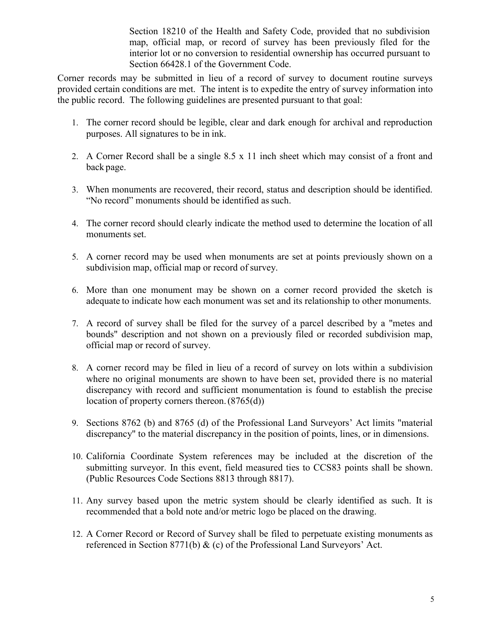Section 18210 of the Health and Safety Code, provided that no subdivision map, official map, or record of survey has been previously filed for the interior lot or no conversion to residential ownership has occurred pursuant to Section 66428.1 of the Government Code.

Corner records may be submitted in lieu of a record of survey to document routine surveys provided certain conditions are met. The intent is to expedite the entry of survey information into the public record. The following guidelines are presented pursuant to that goal:

- 1. The corner record should be legible, clear and dark enough for archival and reproduction purposes. All signatures to be in ink.
- 2. A Corner Record shall be a single 8.5 x 11 inch sheet which may consist of a front and back page.
- 3. When monuments are recovered, their record, status and description should be identified. "No record" monuments should be identified as such.
- 4. The corner record should clearly indicate the method used to determine the location of all monuments set.
- 5. A corner record may be used when monuments are set at points previously shown on a subdivision map, official map or record of survey.
- 6. More than one monument may be shown on a corner record provided the sketch is adequate to indicate how each monument was set and its relationship to other monuments.
- 7. A record of survey shall be filed for the survey of a parcel described by a "metes and bounds" description and not shown on a previously filed or recorded subdivision map, official map or record of survey.
- 8. A corner record may be filed in lieu of a record of survey on lots within a subdivision where no original monuments are shown to have been set, provided there is no material discrepancy with record and sufficient monumentation is found to establish the precise location of property corners thereon. (8765(d))
- 9. Sections 8762 (b) and 8765 (d) of the Professional Land Surveyors' Act limits "material discrepancy" to the material discrepancy in the position of points, lines, or in dimensions.
- 10. California Coordinate System references may be included at the discretion of the submitting surveyor. In this event, field measured ties to CCS83 points shall be shown. (Public Resources Code Sections 8813 through 8817).
- 11. Any survey based upon the metric system should be clearly identified as such. It is recommended that a bold note and/or metric logo be placed on the drawing.
- 12. A Corner Record or Record of Survey shall be filed to perpetuate existing monuments as referenced in Section 8771(b)  $\&$  (c) of the Professional Land Surveyors' Act.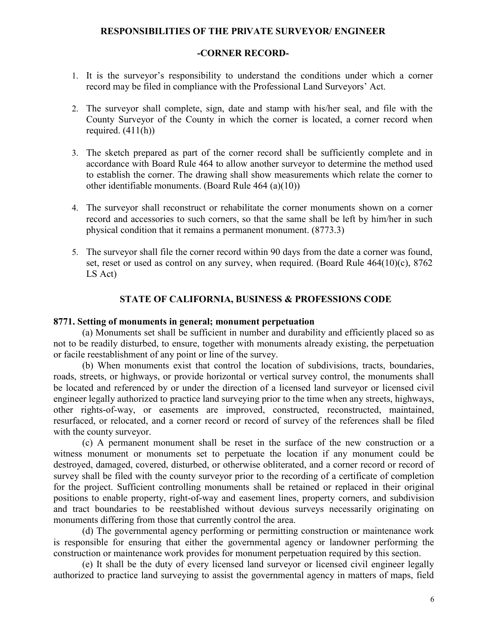### **RESPONSIBILITIES OF THE PRlVATE SURVEYOR/ ENGINEER**

### **-CORNER RECORD-**

- 1. It is the surveyor's responsibility to understand the conditions under which a corner record may be filed in compliance with the Professional Land Surveyors' Act.
- 2. The surveyor shall complete, sign, date and stamp with his/her seal, and file with the County Surveyor of the County in which the corner is located, a corner record when required.  $(411(h))$
- 3. The sketch prepared as part of the corner record shall be sufficiently complete and in accordance with Board Rule 464 to allow another surveyor to determine the method used to establish the corner. The drawing shall show measurements which relate the corner to other identifiable monuments. (Board Rule 464 (a)(10))
- 4. The surveyor shall reconstruct or rehabilitate the corner monuments shown on a corner record and accessories to such corners, so that the same shall be left by him/her in such physical condition that it remains a permanent monument. (8773.3)
- 5. The surveyor shall file the corner record within 90 days from the date a corner was found, set, reset or used as control on any survey, when required. (Board Rule 464(10)(c), 8762 LS Act)

### **STATE OF CALIFORNIA, BUSINESS & PROFESSIONS CODE**

#### **8771. Setting of monuments in general; monument perpetuation**

(a) Monuments set shall be sufficient in number and durability and efficiently placed so as not to be readily disturbed, to ensure, together with monuments already existing, the perpetuation or facile reestablishment of any point or line of the survey.

(b) When monuments exist that control the location of subdivisions, tracts, boundaries, roads, streets, or highways, or provide horizontal or vertical survey control, the monuments shall be located and referenced by or under the direction of a licensed land surveyor or licensed civil engineer legally authorized to practice land surveying prior to the time when any streets, highways, other rights-of-way, or easements are improved, constructed, reconstructed, maintained, resurfaced, or relocated, and a corner record or record of survey of the references shall be filed with the county surveyor.

(c) A permanent monument shall be reset in the surface of the new construction or a witness monument or monuments set to perpetuate the location if any monument could be destroyed, damaged, covered, disturbed, or otherwise obliterated, and a corner record or record of survey shall be filed with the county surveyor prior to the recording of a certificate of completion for the project. Sufficient controlling monuments shall be retained or replaced in their original positions to enable property, right-of-way and easement lines, property corners, and subdivision and tract boundaries to be reestablished without devious surveys necessarily originating on monuments differing from those that currently control the area.

(d) The governmental agency performing or permitting construction or maintenance work is responsible for ensuring that either the governmental agency or landowner performing the construction or maintenance work provides for monument perpetuation required by this section.

(e) It shall be the duty of every licensed land surveyor or licensed civil engineer legally authorized to practice land surveying to assist the governmental agency in matters of maps, field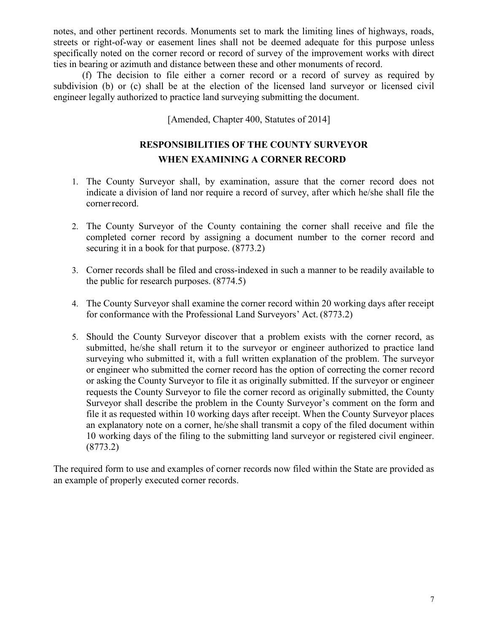notes, and other pertinent records. Monuments set to mark the limiting lines of highways, roads, streets or right-of-way or easement lines shall not be deemed adequate for this purpose unless specifically noted on the corner record or record of survey of the improvement works with direct ties in bearing or azimuth and distance between these and other monuments of record.

(f) The decision to file either a corner record or a record of survey as required by subdivision (b) or (c) shall be at the election of the licensed land surveyor or licensed civil engineer legally authorized to practice land surveying submitting the document.

[Amended, Chapter 400, Statutes of 2014]

# **RESPONSIBILITIES OF THE COUNTY SURVEYOR WHEN EXAMINING A CORNER RECORD**

- 1. The County Surveyor shall, by examination, assure that the corner record does not indicate a division of land nor require a record of survey, after which he/she shall file the corner record.
- 2. The County Surveyor of the County containing the corner shall receive and file the completed corner record by assigning a document number to the corner record and securing it in a book for that purpose. (8773.2)
- 3. Corner records shall be filed and cross-indexed in such a manner to be readily available to the public for research purposes. (8774.5)
- 4. The County Surveyor shall examine the corner record within 20 working days after receipt for conformance with the Professional Land Surveyors' Act. (8773.2)
- 5. Should the County Surveyor discover that a problem exists with the corner record, as submitted, he/she shall return it to the surveyor or engineer authorized to practice land surveying who submitted it, with a full written explanation of the problem. The surveyor or engineer who submitted the corner record has the option of correcting the corner record or asking the County Surveyor to file it as originally submitted. If the surveyor or engineer requests the County Surveyor to file the corner record as originally submitted, the County Surveyor shall describe the problem in the County Surveyor's comment on the form and file it as requested within 10 working days after receipt. When the County Surveyor places an explanatory note on a corner, he/she shall transmit a copy of the filed document within 10 working days of the filing to the submitting land surveyor or registered civil engineer. (8773.2)

The required form to use and examples of corner records now filed within the State are provided as an example of properly executed corner records.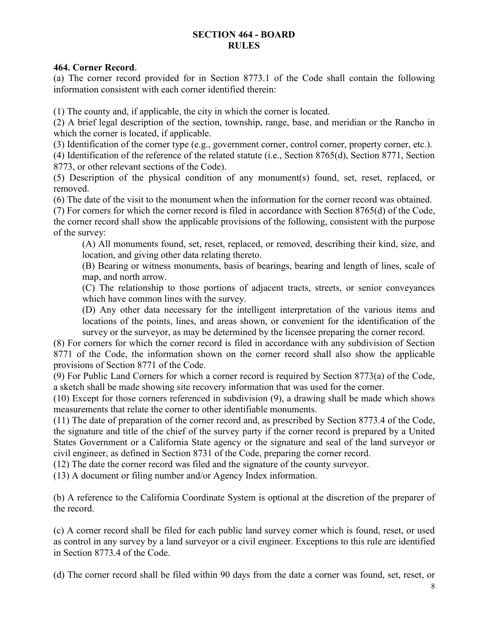## **SECTION 464 - BOARD RULES**

## **464. Corner Record.**

(a) The corner record provided for in Section 8773.1 of the Code shall contain the following information consistent with each corner identified therein:

(1) The county and, if applicable, the city in which the corner is located.

(2) A brief legal description of the section, township, range, base, and meridian or the Rancho in which the corner is located, if applicable.

(3) Identification of the corner type (e.g., government corner, control corner, property corner, etc.).

(4) Identification of the reference of the related statute (i.e., Section 8765(d), Section 8771, Section 8773, or other relevant sections of the Code).

(5) Description of the physical condition of any monument(s) found, set, reset, replaced, or removed.

(6) The date of the visit to the monument when the information for the corner record was obtained.

(7) For corners for which the corner record is filed in accordance with Section 8765(d) of the Code, the corner record shall show the applicable provisions of the following, consistent with the purpose of the survey:

(A) All monuments found, set, reset, replaced, or removed, describing their kind, size, and location, and giving other data relating thereto.

(B) Bearing or witness monuments, basis of bearings, bearing and length of lines, scale of map, and north arrow.

(C) The relationship to those portions of adjacent tracts, streets, or senior conveyances which have common lines with the survey.

(D) Any other data necessary for the intelligent interpretation of the various items and locations of the points, lines, and areas shown, or convenient for the identification of the survey or the surveyor, as may be determined by the licensee preparing the corner record.

(8) For corners for which the corner record is filed in accordance with any subdivision of Section 8771 of the Code, the information shown on the corner record shall also show the applicable provisions of Section 8771 of the Code.

(9) For Public Land Corners for which a corner record is required by Section 8773(a) of the Code, a sketch shall be made showing site recovery information that was used for the corner.

(10) Except for those corners referenced in subdivision (9), a drawing shall be made which shows measurements that relate the corner to other identifiable monuments.

(11) The date of preparation of the corner record and, as prescribed by Section 8773.4 of the Code, the signature and title of the chief of the survey party if the corner record is prepared by a United States Government or a California State agency or the signature and seal of the land surveyor or civil engineer, as defined in Section 8731 of the Code, preparing the corner record.

(12) The date the corner record was filed and the signature of the county surveyor.

(13) A document or filing number and/or Agency Index information.

(b) A reference to the California Coordinate System is optional at the discretion of the preparer of the record.

(c) A corner record shall be filed for each public land survey corner which is found, reset, or used as control in any survey by a land surveyor or a civil engineer. Exceptions to this rule are identified in Section 8773.4 of the Code.

(d) The corner record shall be filed within 90 days from the date a corner was found, set, reset, or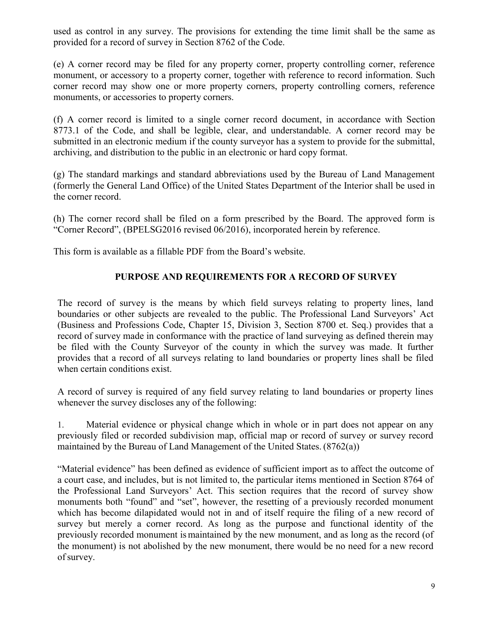used as control in any survey. The provisions for extending the time limit shall be the same as provided for a record of survey in Section 8762 of the Code.

(e) A corner record may be filed for any property corner, property controlling corner, reference monument, or accessory to a property corner, together with reference to record information. Such corner record may show one or more property corners, property controlling corners, reference monuments, or accessories to property corners.

(f) A corner record is limited to a single corner record document, in accordance with Section 8773.1 of the Code, and shall be legible, clear, and understandable. A corner record may be submitted in an electronic medium if the county surveyor has a system to provide for the submittal, archiving, and distribution to the public in an electronic or hard copy format.

(g) The standard markings and standard abbreviations used by the Bureau of Land Management (formerly the General Land Office) of the United States Department of the Interior shall be used in the corner record.

(h) The corner record shall be filed on a form prescribed by the Board. The approved form is "Corner Record", (BPELSG2016 revised 06/2016), incorporated herein by reference.

This form is available as a fillable PDF from the Board's website.

# **PURPOSE AND REQUIREMENTS FOR A RECORD OF SURVEY**

The record of survey is the means by which field surveys relating to property lines, land boundaries or other subjects are revealed to the public. The Professional Land Surveyors' Act (Business and Professions Code, Chapter 15, Division 3, Section 8700 et. Seq.) provides that a record of survey made in conformance with the practice of land surveying as defined therein may be filed with the County Surveyor of the county in which the survey was made. It further provides that a record of all surveys relating to land boundaries or property lines shall be filed when certain conditions exist.

A record of survey is required of any field survey relating to land boundaries or property lines whenever the survey discloses any of the following:

1. Material evidence or physical change which in whole or in part does not appear on any previously filed or recorded subdivision map, official map or record of survey or survey record maintained by the Bureau of Land Management of the United States. (8762(a))

"Material evidence" has been defined as evidence of sufficient import as to affect the outcome of a court case, and includes, but is not limited to, the particular items mentioned in Section 8764 of the Professional Land Surveyors' Act. This section requires that the record of survey show monuments both "found" and "set", however, the resetting of a previously recorded monument which has become dilapidated would not in and of itself require the filing of a new record of survey but merely a corner record. As long as the purpose and functional identity of the previously recorded monument is maintained by the new monument, and as long as the record (of the monument) is not abolished by the new monument, there would be no need for a new record of survey.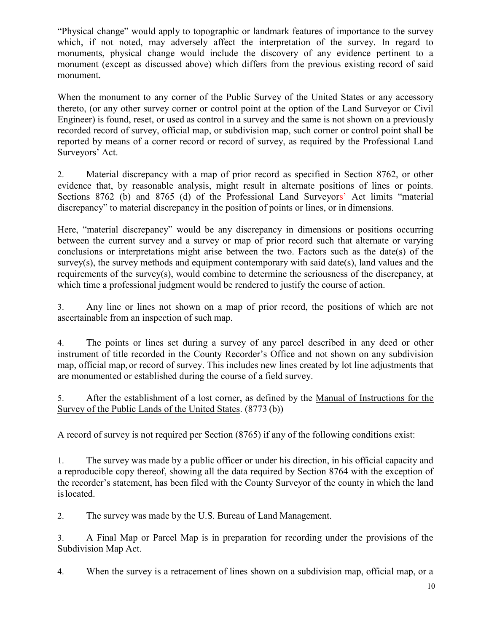"Physical change" would apply to topographic or landmark features of importance to the survey which, if not noted, may adversely affect the interpretation of the survey. In regard to monuments, physical change would include the discovery of any evidence pertinent to a monument (except as discussed above) which differs from the previous existing record of said monument.

When the monument to any corner of the Public Survey of the United States or any accessory thereto, (or any other survey corner or control point at the option of the Land Surveyor or Civil Engineer) is found, reset, or used as control in a survey and the same is not shown on a previously recorded record of survey, official map, or subdivision map, such corner or control point shall be reported by means of a corner record or record of survey, as required by the Professional Land Surveyors' Act.

2. Material discrepancy with a map of prior record as specified in Section 8762, or other evidence that, by reasonable analysis, might result in alternate positions of lines or points. Sections 8762 (b) and 8765 (d) of the Professional Land Surveyors' Act limits "material discrepancy" to material discrepancy in the position of points or lines, or in dimensions.

Here, "material discrepancy" would be any discrepancy in dimensions or positions occurring between the current survey and a survey or map of prior record such that alternate or varying conclusions or interpretations might arise between the two. Factors such as the date(s) of the survey(s), the survey methods and equipment contemporary with said date(s), land values and the requirements of the survey(s), would combine to determine the seriousness of the discrepancy, at which time a professional judgment would be rendered to justify the course of action.

3. Any line or lines not shown on a map of prior record, the positions of which are not ascertainable from an inspection of such map.

4. The points or lines set during a survey of any parcel described in any deed or other instrument of title recorded in the County Recorder's Office and not shown on any subdivision map, official map, or record of survey. This includes new lines created by lot line adjustments that are monumented or established during the course of a field survey.

5. After the establishment of a lost corner, as defined by the Manual of Instructions for the Survey of the Public Lands of the United States. (8773 (b))

A record of survey is not required per Section (8765) if any of the following conditions exist:

1. The survey was made by a public officer or under his direction, in his official capacity and a reproducible copy thereof, showing all the data required by Section 8764 with the exception of the recorder's statement, has been filed with the County Surveyor of the county in which the land is located.

2. The survey was made by the U.S. Bureau of Land Management.

3. A Final Map or Parcel Map is in preparation for recording under the provisions of the Subdivision Map Act.

4. When the survey is a retracement of lines shown on a subdivision map, official map, or a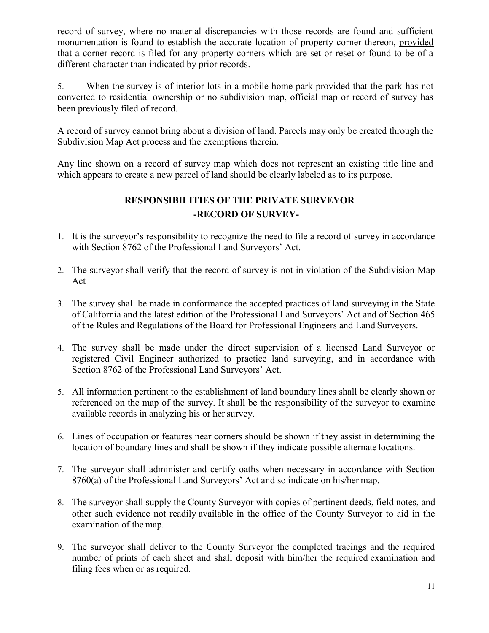record of survey, where no material discrepancies with those records are found and sufficient monumentation is found to establish the accurate location of property corner thereon, provided that a corner record is filed for any property corners which are set or reset or found to be of a different character than indicated by prior records.

5. When the survey is of interior lots in a mobile home park provided that the park has not converted to residential ownership or no subdivision map, official map or record of survey has been previously filed of record.

A record of survey cannot bring about a division of land. Parcels may only be created through the Subdivision Map Act process and the exemptions therein.

Any line shown on a record of survey map which does not represent an existing title line and which appears to create a new parcel of land should be clearly labeled as to its purpose.

# **RESPONSIBILITIES OF THE PRIVATE SURVEYOR -RECORD OF SURVEY-**

- 1. It is the surveyor's responsibility to recognize the need to file a record of survey in accordance with Section 8762 of the Professional Land Surveyors' Act.
- 2. The surveyor shall verify that the record of survey is not in violation of the Subdivision Map Act
- 3. The survey shall be made in conformance the accepted practices of land surveying in the State of California and the latest edition of the Professional Land Surveyors' Act and of Section 465 of the Rules and Regulations of the Board for Professional Engineers and Land Surveyors.
- 4. The survey shall be made under the direct supervision of a licensed Land Surveyor or registered Civil Engineer authorized to practice land surveying, and in accordance with Section 8762 of the Professional Land Surveyors' Act.
- 5. All information pertinent to the establishment of land boundary lines shall be clearly shown or referenced on the map of the survey. It shall be the responsibility of the surveyor to examine available records in analyzing his or her survey.
- 6. Lines of occupation or features near corners should be shown if they assist in determining the location of boundary lines and shall be shown if they indicate possible alternate locations.
- 7. The surveyor shall administer and certify oaths when necessary in accordance with Section 8760(a) of the Professional Land Surveyors' Act and so indicate on his/her map.
- 8. The surveyor shall supply the County Surveyor with copies of pertinent deeds, field notes, and other such evidence not readily available in the office of the County Surveyor to aid in the examination of the map.
- 9. The surveyor shall deliver to the County Surveyor the completed tracings and the required number of prints of each sheet and shall deposit with him/her the required examination and filing fees when or as required.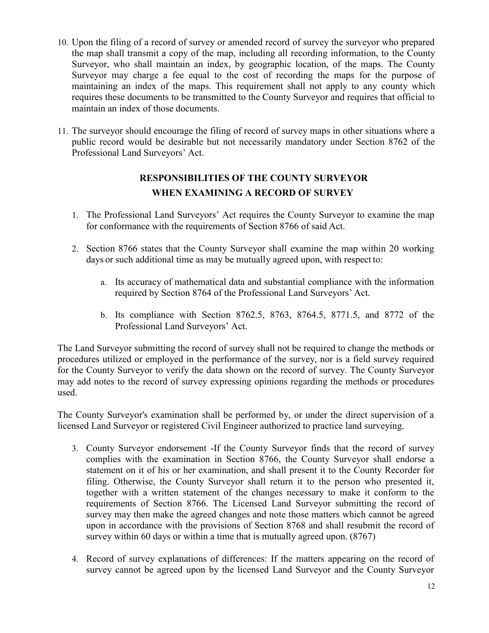- 10. Upon the filing of a record of survey or amended record of survey the surveyor who prepared the map shall transmit a copy of the map, including all recording information, to the County Surveyor, who shall maintain an index, by geographic location, of the maps. The County Surveyor may charge a fee equal to the cost of recording the maps for the purpose of maintaining an index of the maps. This requirement shall not apply to any county which requires these documents to be transmitted to the County Surveyor and requires that official to maintain an index of those documents.
- 11. The surveyor should encourage the filing of record of survey maps in other situations where a public record would be desirable but not necessarily mandatory under Section 8762 of the Professional Land Surveyors' Act.

# **RESPONSIBILITIES OF THE COUNTY SURVEYOR WHEN EXAMINING A RECORD OF SURVEY**

- 1. The Professional Land Surveyors' Act requires the County Surveyor to examine the map for conformance with the requirements of Section 8766 of said Act.
- 2. Section 8766 states that the County Surveyor shall examine the map within 20 working days or such additional time as may be mutually agreed upon, with respect to:
	- a. Its accuracy of mathematical data and substantial compliance with the information required by Section 8764 of the Professional Land Surveyors' Act.
	- b. Its compliance with Section 8762.5, 8763, 8764.5, 8771.5, and 8772 of the Professional Land Surveyors' Act.

The Land Surveyor submitting the record of survey shall not be required to change the methods or procedures utilized or employed in the performance of the survey, nor is a field survey required for the County Surveyor to verify the data shown on the record of survey. The County Surveyor may add notes to the record of survey expressing opinions regarding the methods or procedures used.

The County Surveyor's examination shall be performed by, or under the direct supervision of a licensed Land Surveyor or registered Civil Engineer authorized to practice land surveying.

- 3. County Surveyor endorsement -If the County Surveyor finds that the record of survey complies with the examination in Section 8766, the County Surveyor shall endorse a statement on it of his or her examination, and shall present it to the County Recorder for filing. Otherwise, the County Surveyor shall return it to the person who presented it, together with a written statement of the changes necessary to make it conform to the requirements of Section 8766. The Licensed Land Surveyor submitting the record of survey may then make the agreed changes and note those matters which cannot be agreed upon in accordance with the provisions of Section 8768 and shall resubmit the record of survey within 60 days or within a time that is mutually agreed upon. (8767)
- 4. Record of survey explanations of differences: If the matters appearing on the record of survey cannot be agreed upon by the licensed Land Surveyor and the County Surveyor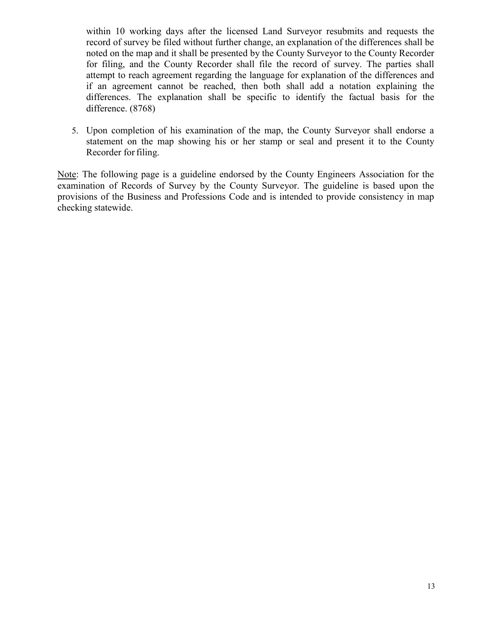within 10 working days after the licensed Land Surveyor resubmits and requests the record of survey be filed without further change, an explanation of the differences shall be noted on the map and it shall be presented by the County Surveyor to the County Recorder for filing, and the County Recorder shall file the record of survey. The parties shall attempt to reach agreement regarding the language for explanation of the differences and if an agreement cannot be reached, then both shall add a notation explaining the differences. The explanation shall be specific to identify the factual basis for the difference. (8768)

5. Upon completion of his examination of the map, the County Surveyor shall endorse a statement on the map showing his or her stamp or seal and present it to the County Recorder for filing.

Note: The following page is a guideline endorsed by the County Engineers Association for the examination of Records of Survey by the County Surveyor. The guideline is based upon the provisions of the Business and Professions Code and is intended to provide consistency in map checking statewide.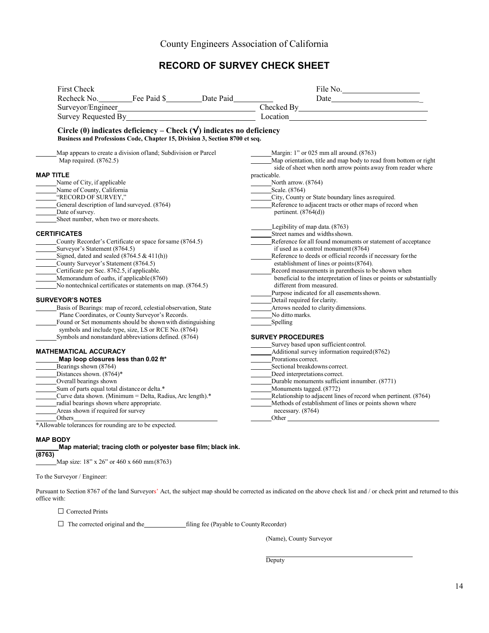# **RECORD OF SURVEY CHECK SHEET**

| First Check                                                                                                                                                  | File No.                                                                                                                         |
|--------------------------------------------------------------------------------------------------------------------------------------------------------------|----------------------------------------------------------------------------------------------------------------------------------|
|                                                                                                                                                              |                                                                                                                                  |
|                                                                                                                                                              |                                                                                                                                  |
|                                                                                                                                                              | Survey Requested By Location Location                                                                                            |
|                                                                                                                                                              |                                                                                                                                  |
| Circle (0) indicates deficiency – Check ( $\sqrt{}$ ) indicates no deficiency<br>Business and Professions Code, Chapter 15, Division 3, Section 8700 et seq. |                                                                                                                                  |
| Map appears to create a division of land; Subdivision or Parcel                                                                                              | Margin: 1" or 025 mm all around. (8763)                                                                                          |
| Map required. (8762.5)                                                                                                                                       | Map orientation, title and map body to read from bottom or right<br>side of sheet when north arrow points away from reader where |
| MAP TITLE                                                                                                                                                    | practicable.                                                                                                                     |
| Name of City, if applicable                                                                                                                                  | North arrow. (8764)                                                                                                              |
| Name of County, California                                                                                                                                   | Scale. (8764)                                                                                                                    |
| "RECORD OF SURVEY,"                                                                                                                                          | City, County or State boundary lines as required.                                                                                |
| General description of land surveyed. (8764)                                                                                                                 | Reference to adjacent tracts or other maps of record when                                                                        |
| Date of survey.                                                                                                                                              | pertinent. $(8764(d))$                                                                                                           |
| Sheet number, when two or more sheets.                                                                                                                       |                                                                                                                                  |
|                                                                                                                                                              | Legibility of map data. (8763)                                                                                                   |
| <b>CERTIFICATES</b>                                                                                                                                          | Street names and widths shown.                                                                                                   |
| County Recorder's Certificate or space for same (8764.5)                                                                                                     | Reference for all found monuments or statement of acceptance                                                                     |
| Surveyor's Statement (8764.5)                                                                                                                                | if used as a control monument (8764)                                                                                             |
| Signed, dated and sealed (8764.5 & 411(h))                                                                                                                   | Reference to deeds or official records if necessary for the                                                                      |
| County Surveyor's Statement (8764.5)                                                                                                                         | establishment of lines or points (8764).                                                                                         |
| Certificate per Sec. 8762.5, if applicable.                                                                                                                  | Record measurements in parenthesis to be shown when                                                                              |
| Memorandum of oaths, if applicable (8760)                                                                                                                    | beneficial to the interpretation of lines or points or substantially                                                             |
| No nontechnical certificates or statements on map. (8764.5)                                                                                                  | different from measured.                                                                                                         |
|                                                                                                                                                              | Purpose indicated for all easements shown.                                                                                       |
| <b>SURVEYOR'S NOTES</b>                                                                                                                                      | Detail required for clarity.                                                                                                     |
| Basis of Bearings: map of record, celestial observation, State                                                                                               | Arrows needed to clarity dimensions.                                                                                             |
| Plane Coordinates, or County Surveyor's Records.                                                                                                             | No ditto marks.                                                                                                                  |
| Found or Set monuments should be shown with distinguishing                                                                                                   | Spelling                                                                                                                         |
| symbols and include type, size, LS or RCE No. (8764)                                                                                                         |                                                                                                                                  |
| Symbols and nonstandard abbreviations defined. (8764)                                                                                                        | <b>SURVEY PROCEDURES</b>                                                                                                         |
|                                                                                                                                                              | Survey based upon sufficient control.                                                                                            |
| MATHEMATICAL ACCURACY                                                                                                                                        | Additional survey information required (8762)                                                                                    |
| Map loop closures less than 0.02 ft*                                                                                                                         | Prorations correct.                                                                                                              |
| Bearings shown (8764)                                                                                                                                        | Sectional breakdowns correct.                                                                                                    |
| Distances shown. (8764)*                                                                                                                                     | Deed interpretations correct.                                                                                                    |
| Overall bearings shown                                                                                                                                       | Durable monuments sufficient innumber. (8771)                                                                                    |
| Sum of parts equal total distance or delta.*                                                                                                                 | Monuments tagged. (8772)                                                                                                         |
| Curve data shown. (Minimum = Delta, Radius, Arc length).*                                                                                                    | Relationship to adjacent lines of record when pertinent. (8764)                                                                  |
| radial bearings shown where appropriate.                                                                                                                     | Methods of establishment of lines or points shown where                                                                          |
| Areas shown if required for survey                                                                                                                           | necessary. $(8764)$                                                                                                              |
| <b>Others</b>                                                                                                                                                | Other                                                                                                                            |

\*Allowable tolerances for rounding are to be expected.

#### **MAP BODY**

#### **Map material; tracing cloth or polyester base film; black ink. (8763)**

|  |  | Map size: $18''$ x $26''$ or $460$ x $660$ mm $(8763)$ |  |
|--|--|--------------------------------------------------------|--|

To the Surveyor / Engineer:

Pursuant to Section 8767 of the land Surveyors' Act, the subject map should be corrected as indicated on the above check list and / or check print and returned to this office with:

□ Corrected Prints

 $\Box$  The corrected original and the filing fee (Payable to County Recorder)

(Name), County Surveyor

Deputy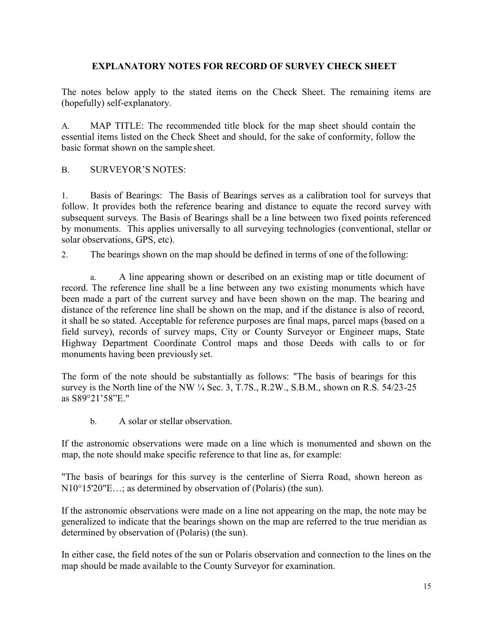# **EXPLANATORY NOTES FOR RECORD OF SURVEY CHECK SHEET**

The notes below apply to the stated items on the Check Sheet. The remaining items are (hopefully) self-explanatory.

A. MAP TITLE: The recommended title block for the map sheet should contain the essential items listed on the Check Sheet and should, for the sake of conformity, follow the basic format shown on the sample sheet.

B. SURVEYOR'S NOTES:

1. Basis of Bearings: The Basis of Bearings serves as a calibration tool for surveys that follow. It provides both the reference bearing and distance to equate the record survey with subsequent surveys. The Basis of Bearings shall be a line between two fixed points referenced by monuments. This applies universally to all surveying technologies (conventional, stellar or solar observations, GPS, etc).

2. The bearings shown on the map should be defined in terms of one of the following:

a. A line appearing shown or described on an existing map or title document of record. The reference line shall be a line between any two existing monuments which have been made a part of the current survey and have been shown on the map. The bearing and distance of the reference line shall be shown on the map, and if the distance is also of record, it shall be so stated. Acceptable for reference purposes are final maps, parcel maps (based on a field survey), records of survey maps, City or County Surveyor or Engineer maps, State Highway Department Coordinate Control maps and those Deeds with calls to or for monuments having been previously set.

The form of the note should be substantially as follows: "The basis of bearings for this survey is the North line of the NW ¼ Sec. 3, T.7S., R.2W., S.B.M., shown on R.S. 54/23-25 as S89°21'58"E."

b. A solar or stellar observation.

If the astronomic observations were made on a line which is monumented and shown on the map, the note should make specific reference to that line as, for example:

"The basis of bearings for this survey is the centerline of Sierra Road, shown hereon as N10°15'20"E…; as determined by observation of (Polaris) (the sun).

If the astronomic observations were made on a line not appearing on the map, the note may be generalized to indicate that the bearings shown on the map are referred to the true meridian as determined by observation of (Polaris) (the sun).

In either case, the field notes of the sun or Polaris observation and connection to the lines on the map should be made available to the County Surveyor for examination.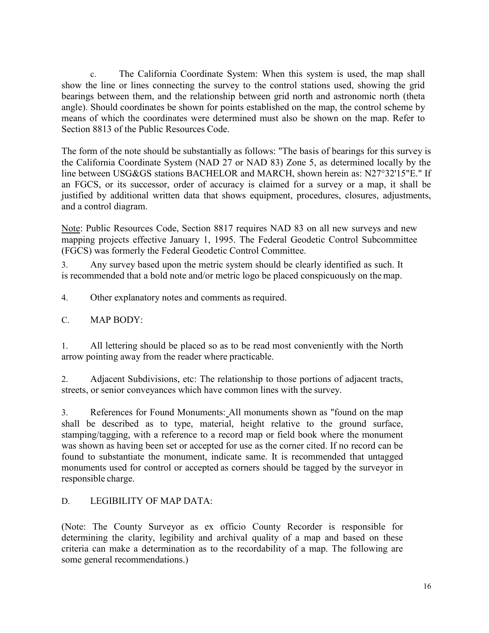c. The California Coordinate System: When this system is used, the map shall show the line or lines connecting the survey to the control stations used, showing the grid bearings between them, and the relationship between grid north and astronomic north (theta angle). Should coordinates be shown for points established on the map, the control scheme by means of which the coordinates were determined must also be shown on the map. Refer to Section 8813 of the Public Resources Code.

The form of the note should be substantially as follows: "The basis of bearings for this survey is the California Coordinate System (NAD 27 or NAD 83) Zone 5, as determined locally by the line between USG&GS stations BACHELOR and MARCH, shown herein as: N27°32'15"E." If an FGCS, or its successor, order of accuracy is claimed for a survey or a map, it shall be justified by additional written data that shows equipment, procedures, closures, adjustments, and a control diagram.

Note: Public Resources Code, Section 8817 requires NAD 83 on all new surveys and new mapping projects effective January 1, 1995. The Federal Geodetic Control Subcommittee (FGCS) was formerly the Federal Geodetic Control Committee.

3. Any survey based upon the metric system should be clearly identified as such. It is recommended that a bold note and/or metric logo be placed conspicuously on the map.

4. Other explanatory notes and comments as required.

C. MAP BODY:

1. All lettering should be placed so as to be read most conveniently with the North arrow pointing away from the reader where practicable.

2. Adjacent Subdivisions, etc: The relationship to those portions of adjacent tracts, streets, or senior conveyances which have common lines with the survey.

3. References for Found Monuments: All monuments shown as "found on the map shall be described as to type, material, height relative to the ground surface, stamping/tagging, with a reference to a record map or field book where the monument was shown as having been set or accepted for use as the corner cited. If no record can be found to substantiate the monument, indicate same. It is recommended that untagged monuments used for control or accepted as corners should be tagged by the surveyor in responsible charge.

# D. LEGIBILITY OF MAP DATA:

(Note: The County Surveyor as ex officio County Recorder is responsible for determining the clarity, legibility and archival quality of a map and based on these criteria can make a determination as to the recordability of a map. The following are some general recommendations.)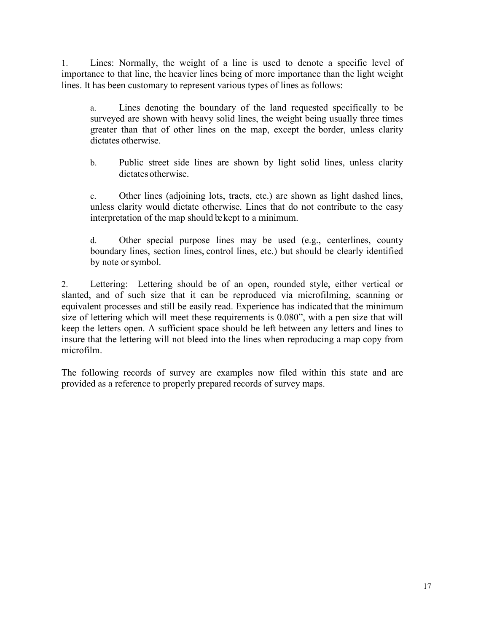1. Lines: Normally, the weight of a line is used to denote a specific level of importance to that line, the heavier lines being of more importance than the light weight lines. It has been customary to represent various types of lines as follows:

a. Lines denoting the boundary of the land requested specifically to be surveyed are shown with heavy solid lines, the weight being usually three times greater than that of other lines on the map, except the border, unless clarity dictates otherwise.

b. Public street side lines are shown by light solid lines, unless clarity dictates otherwise.

c. Other lines (adjoining lots, tracts, etc.) are shown as light dashed lines, unless clarity would dictate otherwise. Lines that do not contribute to the easy interpretation of the map should bekept to a minimum.

d. Other special purpose lines may be used (e.g., centerlines, county boundary lines, section lines, control lines, etc.) but should be clearly identified by note or symbol.

2. Lettering: Lettering should be of an open, rounded style, either vertical or slanted, and of such size that it can be reproduced via microfilming, scanning or equivalent processes and still be easily read. Experience has indicated that the minimum size of lettering which will meet these requirements is 0.080", with a pen size that will keep the letters open. A sufficient space should be left between any letters and lines to insure that the lettering will not bleed into the lines when reproducing a map copy from microfilm.

The following records of survey are examples now filed within this state and are provided as a reference to properly prepared records of survey maps.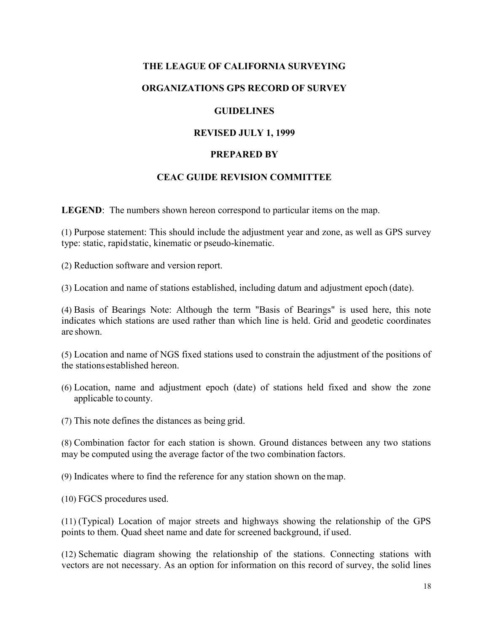### **THE LEAGUE OF CALIFORNIA SURVEYING**

### **ORGANIZATIONS GPS RECORD OF SURVEY**

### **GUIDELINES**

### **REVISED JULY 1, 1999**

#### **PREPARED BY**

### **CEAC GUIDE REVISION COMMITTEE**

**LEGEND**: The numbers shown hereon correspond to particular items on the map.

(1) Purpose statement: This should include the adjustment year and zone, as well as GPS survey type: static, rapid static, kinematic or pseudo-kinematic.

(2) Reduction software and version report.

(3) Location and name of stations established, including datum and adjustment epoch (date).

(4) Basis of Bearings Note: Although the term "Basis of Bearings" is used here, this note indicates which stations are used rather than which line is held. Grid and geodetic coordinates are shown.

(5) Location and name of NGS fixed stations used to constrain the adjustment of the positions of the stations established hereon.

- (6) Location, name and adjustment epoch (date) of stations held fixed and show the zone applicable to county.
- (7) This note defines the distances as being grid.

(8) Combination factor for each station is shown. Ground distances between any two stations may be computed using the average factor of the two combination factors.

(9) Indicates where to find the reference for any station shown on the map.

(10) FGCS procedures used.

(11) (Typical) Location of major streets and highways showing the relationship of the GPS points to them. Quad sheet name and date for screened background, if used.

(12) Schematic diagram showing the relationship of the stations. Connecting stations with vectors are not necessary. As an option for information on this record of survey, the solid lines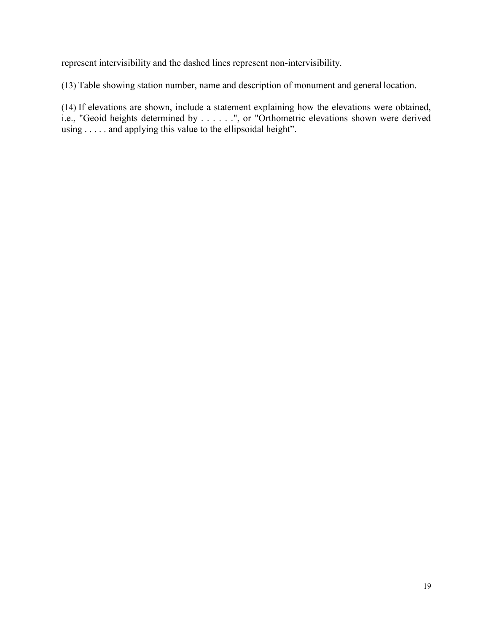represent intervisibility and the dashed lines represent non-intervisibility.

(13) Table showing station number, name and description of monument and general location.

(14) If elevations are shown, include a statement explaining how the elevations were obtained, i.e., "Geoid heights determined by . . . . . .", or "Orthometric elevations shown were derived using . . . . . and applying this value to the ellipsoidal height".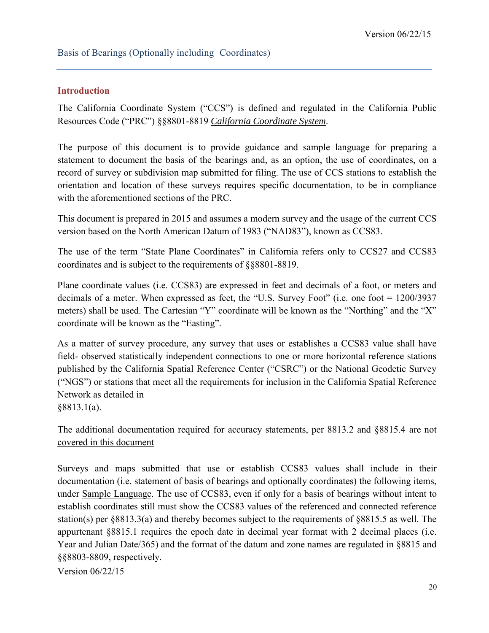### **Introduction**

The California Coordinate System ("CCS") is defined and regulated in the California Public Resources Code ("PRC") §§8801-8819 *California Coordinate System*.

The purpose of this document is to provide guidance and sample language for preparing a statement to document the basis of the bearings and, as an option, the use of coordinates, on a record of survey or subdivision map submitted for filing. The use of CCS stations to establish the orientation and location of these surveys requires specific documentation, to be in compliance with the aforementioned sections of the PRC.

This document is prepared in 2015 and assumes a modern survey and the usage of the current CCS version based on the North American Datum of 1983 ("NAD83"), known as CCS83.

The use of the term "State Plane Coordinates" in California refers only to CCS27 and CCS83 coordinates and is subject to the requirements of §§8801-8819.

Plane coordinate values (i.e. CCS83) are expressed in feet and decimals of a foot, or meters and decimals of a meter. When expressed as feet, the "U.S. Survey Foot" (i.e. one foot = 1200/3937 meters) shall be used. The Cartesian "Y" coordinate will be known as the "Northing" and the "X" coordinate will be known as the "Easting".

As a matter of survey procedure, any survey that uses or establishes a CCS83 value shall have field- observed statistically independent connections to one or more horizontal reference stations published by the California Spatial Reference Center ("CSRC") or the National Geodetic Survey ("NGS") or stations that meet all the requirements for inclusion in the California Spatial Reference Network as detailed in

§8813.1(a).

The additional documentation required for accuracy statements, per 8813.2 and §8815.4 are not covered in this document

Surveys and maps submitted that use or establish CCS83 values shall include in their documentation (i.e. statement of basis of bearings and optionally coordinates) the following items, under Sample Language. The use of CCS83, even if only for a basis of bearings without intent to establish coordinates still must show the CCS83 values of the referenced and connected reference station(s) per  $8813.3(a)$  and thereby becomes subject to the requirements of  $88815.5$  as well. The appurtenant §8815.1 requires the epoch date in decimal year format with 2 decimal places (i.e. Year and Julian Date/365) and the format of the datum and zone names are regulated in §8815 and §§8803-8809, respectively.

Version 06/22/15